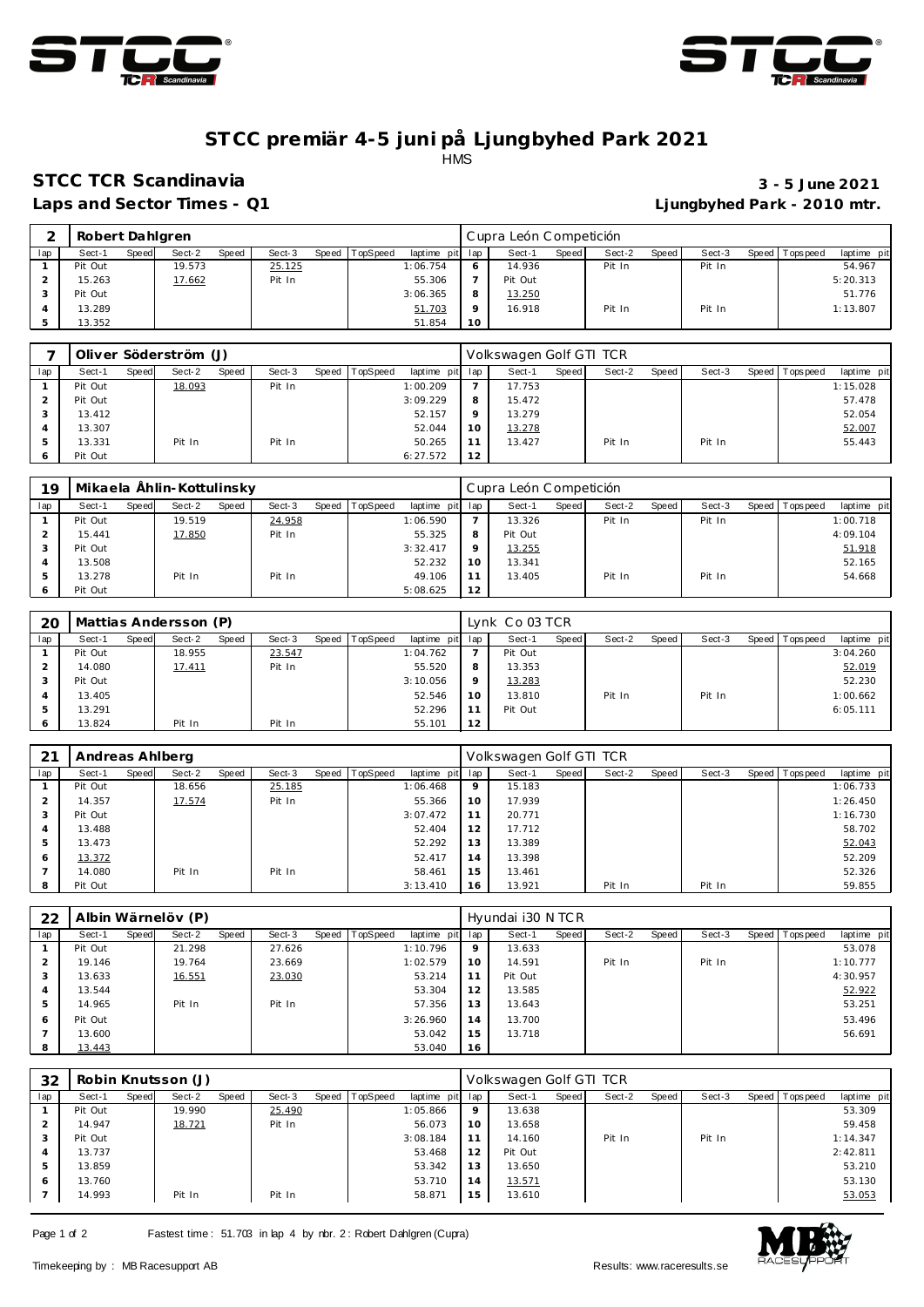



### **ST CC premiär 4-5 juni på Ljungbyhed Park 2021** HMS

## **STCC TCR Scandinavia 3 - 5 June 2021**

**Laps and Sector Times - Q1 Ljungbyhed Park - 2010 mtr.**

|     | Robert Dahlgren |       |        |       |        |       |          |                 |    | l Cupra León Competición |       |        |       |        |                   |             |
|-----|-----------------|-------|--------|-------|--------|-------|----------|-----------------|----|--------------------------|-------|--------|-------|--------|-------------------|-------------|
| lap | Sect-1          | Speed | Sect-2 | Speed | Sect-3 | Speed | TopSpeed | laptime pit lap |    | Sect-                    | Speed | Sect-2 | Speed | Sect-3 | Speed   Tops peed | laptime pit |
|     | Pit Out         |       | 19.573 |       | 25.125 |       |          | 1:06.754        |    | 14.936                   |       | Pit In |       | Pit In |                   | 54.967      |
|     | 15.263          |       | 17.662 |       | Pit In |       |          | 55.306          |    | Pit Out                  |       |        |       |        |                   | 5:20.313    |
|     | Pit Out         |       |        |       |        |       |          | 3:06.365        | 8  | 13.250                   |       |        |       |        |                   | 51.776      |
|     | 13.289          |       |        |       |        |       |          | 51.703          |    | 16.918                   |       | Pit In |       | Pit In |                   | 1:13.807    |
|     | 13.352          |       |        |       |        |       |          | 51.854          | 10 |                          |       |        |       |        |                   |             |

|     |         |       | Oliver Söderström (J) |       |        |       |          |                 |    | Volkswagen Golf GTI TCR |       |        |       |        |                |             |
|-----|---------|-------|-----------------------|-------|--------|-------|----------|-----------------|----|-------------------------|-------|--------|-------|--------|----------------|-------------|
| lap | Sect-1  | Speed | Sect-2                | Speed | Sect-3 | Speed | TopSpeed | laptime pit lap |    | Sect-1                  | Speed | Sect-2 | Speed | Sect-3 | Speed Topspeed | laptime pit |
|     | Pit Out |       | 18.093                |       | Pit In |       |          | 1:00.209        |    | 17.753                  |       |        |       |        |                | 1:15.028    |
|     | Pit Out |       |                       |       |        |       |          | 3:09.229        | 8  | 15.472                  |       |        |       |        |                | 57.478      |
|     | 13.412  |       |                       |       |        |       |          | 52.157          | o  | 13.279                  |       |        |       |        |                | 52.054      |
|     | 13.307  |       |                       |       |        |       |          | 52.044          | 10 | 13.278                  |       |        |       |        |                | 52.007      |
|     | 13.331  |       | Pit In                |       | Pit In |       |          | 50.265          |    | 13.427                  |       | Pit In |       | Pit In |                | 55.443      |
|     | Pit Out |       |                       |       |        |       |          | 6:27.572        | 12 |                         |       |        |       |        |                |             |

| 19  |         |       | Mikaela Åhlin-Kottulinsky |       |        |                |             |     | Cupra León Competición |       |        |       |        |                 |             |
|-----|---------|-------|---------------------------|-------|--------|----------------|-------------|-----|------------------------|-------|--------|-------|--------|-----------------|-------------|
| lap | Sect-1  | Speed | Sect-2                    | Speed | Sect-3 | Speed TopSpeed | laptime pit | lap | Sect-1                 | Speed | Sect-2 | Speed | Sect-3 | Speed Tops peed | laptime pit |
|     | Pit Out |       | 19.519                    |       | 24.958 |                | 1:06.590    |     | 13.326                 |       | Pit In |       | Pit In |                 | 1:00.718    |
|     | 15.441  |       | 17.850                    |       | Pit In |                | 55.325      | 8   | Pit Out                |       |        |       |        |                 | 4:09.104    |
|     | Pit Out |       |                           |       |        |                | 3:32.417    | Q   | 13.255                 |       |        |       |        |                 | 51.918      |
|     | 13.508  |       |                           |       |        |                | 52.232      | 10  | 13.341                 |       |        |       |        |                 | 52.165      |
|     | 13.278  |       | Pit In                    |       | Pit In |                | 49.106      | 11  | 13.405                 |       | Pit In |       | Pit In |                 | 54.668      |
| 6   | Pit Out |       |                           |       |        |                | 5:08.625    | 12  |                        |       |        |       |        |                 |             |

| 20  |         |       | Mattias Andersson (P) |       |        |                |             |     | Lynk Co 03 TCR |       |        |       |        |                 |             |
|-----|---------|-------|-----------------------|-------|--------|----------------|-------------|-----|----------------|-------|--------|-------|--------|-----------------|-------------|
| lap | Sect-1  | Speed | Sect-2                | Speed | Sect-3 | Speed TopSpeed | laptime pit | lap | Sect-1         | Speed | Sect-2 | Speed | Sect-3 | Speed Tops peed | laptime pit |
|     | Pit Out |       | 18.955                |       | 23.547 |                | 1:04.762    |     | Pit Out        |       |        |       |        |                 | 3:04.260    |
|     | 14.080  |       | 17.411                |       | Pit In |                | 55.520      | 8   | 13.353         |       |        |       |        |                 | 52.019      |
|     | Pit Out |       |                       |       |        |                | 3:10.056    | Q   | 13.283         |       |        |       |        |                 | 52.230      |
|     | 13.405  |       |                       |       |        |                | 52.546      | 10  | 13.810         |       | Pit In |       | Pit In |                 | 1:00.662    |
|     | 13.291  |       |                       |       |        |                | 52.296      | 11  | Pit Out        |       |        |       |        |                 | 6:05.111    |
| 6   | 13.824  |       | Pit In                |       | Pit In |                | 55.101      | 12  |                |       |        |       |        |                 |             |

| 21  | Andreas Ahlberg |       |        |       |        |       |                 |                 |    | Volkswagen Golf GTI TCR |       |        |       |        |                 |             |
|-----|-----------------|-------|--------|-------|--------|-------|-----------------|-----------------|----|-------------------------|-------|--------|-------|--------|-----------------|-------------|
| lap | Sect-1          | Speed | Sect-2 | Speed | Sect-3 | Speed | <b>TopSpeed</b> | laptime pit lap |    | Sect-1                  | Speed | Sect-2 | Speed | Sect-3 | Speed Tops peed | laptime pit |
|     | Pit Out         |       | 18.656 |       | 25.185 |       |                 | 1:06.468        | 9  | 15.183                  |       |        |       |        |                 | 1:06.733    |
|     | 14.357          |       | 17.574 |       | Pit In |       |                 | 55.366          | 10 | 17.939                  |       |        |       |        |                 | 1:26.450    |
| 3   | Pit Out         |       |        |       |        |       |                 | 3:07.472        | 11 | 20.771                  |       |        |       |        |                 | 1:16.730    |
| 4   | 13.488          |       |        |       |        |       |                 | 52.404          | 12 | 17.712                  |       |        |       |        |                 | 58.702      |
| 5   | 13.473          |       |        |       |        |       |                 | 52.292          | 13 | 13.389                  |       |        |       |        |                 | 52.043      |
| 6   | 13.372          |       |        |       |        |       |                 | 52.417          | 14 | 13.398                  |       |        |       |        |                 | 52.209      |
|     | 14.080          |       | Pit In |       | Pit In |       |                 | 58.461          | 15 | 13.461                  |       |        |       |        |                 | 52.326      |
| 8   | Pit Out         |       |        |       |        |       |                 | 3:13.410        | 16 | 13.921                  |       | Pit In |       | Pit In |                 | 59.855      |

| 22             |         |       | Albin Wärnelöv (P) |       |        |       |                 |             |         | Hyundai i30 N TCR |       |        |       |        |                |             |
|----------------|---------|-------|--------------------|-------|--------|-------|-----------------|-------------|---------|-------------------|-------|--------|-------|--------|----------------|-------------|
| lap            | Sect-1  | Speed | Sect-2             | Speed | Sect-3 | Speed | <b>TopSpeed</b> | laptime pit | lap     | Sect-1            | Speed | Sect-2 | Speed | Sect-3 | Speed Topspeed | laptime pit |
|                | Pit Out |       | 21.298             |       | 27.626 |       |                 | 1:10.796    | $\circ$ | 13.633            |       |        |       |        |                | 53.078      |
|                | 19.146  |       | 19.764             |       | 23.669 |       |                 | 1:02.579    | 10      | 14.591            |       | Pit In |       | Pit In |                | 1:10.777    |
| 3              | 13.633  |       | 16.551             |       | 23.030 |       |                 | 53.214      |         | Pit Out           |       |        |       |        |                | 4:30.957    |
| $\overline{4}$ | 13.544  |       |                    |       |        |       |                 | 53.304      | 12      | 13.585            |       |        |       |        |                | 52.922      |
| 5              | 14.965  |       | Pit In             |       | Pit In |       |                 | 57.356      | 13      | 13.643            |       |        |       |        |                | 53.251      |
| 6              | Pit Out |       |                    |       |        |       |                 | 3:26.960    | 14      | 13.700            |       |        |       |        |                | 53.496      |
|                | 13.600  |       |                    |       |        |       |                 | 53.042      | 15      | 13.718            |       |        |       |        |                | 56.691      |
| 8              | 13.443  |       |                    |       |        |       |                 | 53.040      | 16      |                   |       |        |       |        |                |             |

| 32  |         |       | Robin Knutsson (J) |       |        |       |          |             |     | Volkswagen Golf GTI TCR |       |        |       |        |                |             |
|-----|---------|-------|--------------------|-------|--------|-------|----------|-------------|-----|-------------------------|-------|--------|-------|--------|----------------|-------------|
| lap | Sect-1  | Speed | Sect-2             | Speed | Sect-3 | Speed | TopSpeed | laptime pit | lap | Sect-1                  | Speed | Sect-2 | Speed | Sect-3 | Speed Topspeed | laptime pit |
|     | Pit Out |       | 19.990             |       | 25.490 |       |          | 1:05.866    | 9   | 13.638                  |       |        |       |        |                | 53.309      |
|     | 14.947  |       | 18.721             |       | Pit In |       |          | 56.073      | 10  | 13.658                  |       |        |       |        |                | 59.458      |
| 3   | Pit Out |       |                    |       |        |       |          | 3:08.184    | 11  | 14.160                  |       | Pit In |       | Pit In |                | 1:14.347    |
| 4   | 13.737  |       |                    |       |        |       |          | 53.468      | 12  | Pit Out                 |       |        |       |        |                | 2:42.811    |
| 5   | 13.859  |       |                    |       |        |       |          | 53.342      | 13  | 13.650                  |       |        |       |        |                | 53.210      |
| 6   | 13.760  |       |                    |       |        |       |          | 53.710      | 14  | 13.571                  |       |        |       |        |                | 53.130      |
|     | 14.993  |       | Pit In             |       | Pit In |       |          | 58.871      | 15  | 13.610                  |       |        |       |        |                | 53.053      |